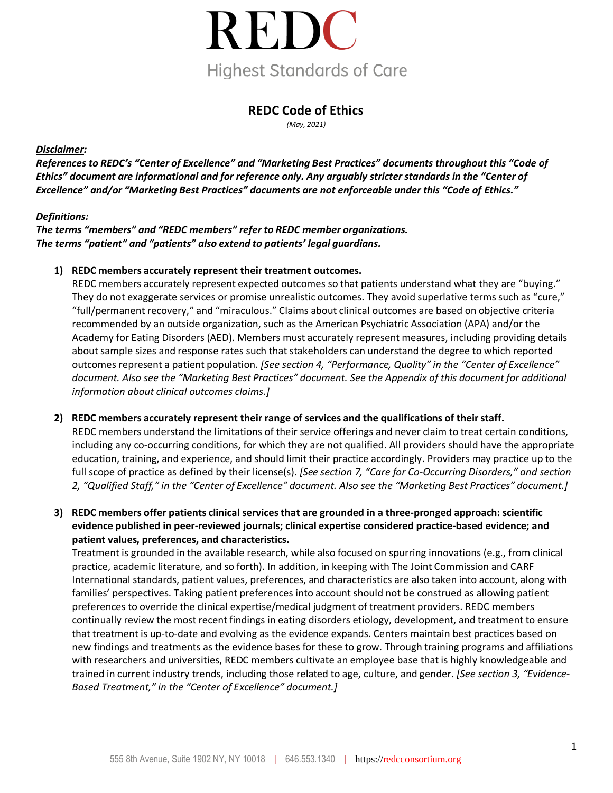

### **REDC Code of Ethics**

*(May, 2021)*

#### *Disclaimer:*

References to REDC's "Center of Excellence" and "Marketing Best Practices" documents throughout this "Code of *Ethics" document are informational and for reference only. Any arguably stricterstandards in the "Center of Excellence" and/or "Marketing Best Practices" documents are not enforceable under this "Code of Ethics."*

#### *Definitions:*

#### *The terms "members" and "REDC members" refer to REDC member organizations. The terms "patient" and "patients" also extend to patients' legal guardians.*

**1) REDC members accurately represent their treatment outcomes.**

REDC members accurately represent expected outcomes so that patients understand what they are "buying." They do not exaggerate services or promise unrealistic outcomes. They avoid superlative terms such as "cure," "full/permanent recovery," and "miraculous." Claims about clinical outcomes are based on objective criteria recommended by an outside organization, such as the American Psychiatric Association (APA) and/or the Academy for Eating Disorders (AED). Members must accurately represent measures, including providing details about sample sizes and response rates such that stakeholders can understand the degree to which reported outcomes represent a patient population. *[See section 4, "Performance, Quality" in the "Center of Excellence" document. Also see the "Marketing Best Practices" document. See the Appendix of this document for additional information about clinical outcomes claims.]*

#### **2) REDC members accurately represent their range of services and the qualifications of theirstaff.**

REDC members understand the limitations of their service offerings and never claim to treat certain conditions, including any co-occurring conditions, for which they are not qualified. All providers should have the appropriate education, training, and experience, and should limit their practice accordingly. Providers may practice up to the full scope of practice as defined by their license(s). *[See section 7, "Care for Co-Occurring Disorders," and section* 2, "Qualified Staff," in the "Center of Excellence" document. Also see the "Marketing Best Practices" document.]

**3) REDC members offer patients clinical servicesthat are grounded in a three-pronged approach: scientific evidence published in peer-reviewed journals; clinical expertise considered practice-based evidence; and patient values, preferences, and characteristics.**

Treatment is grounded in the available research, while also focused on spurring innovations (e.g., from clinical practice, academic literature, and so forth). In addition, in keeping with The Joint Commission and CARF International standards, patient values, preferences, and characteristics are also taken into account, along with families' perspectives. Taking patient preferences into account should not be construed as allowing patient preferences to override the clinical expertise/medical judgment of treatment providers. REDC members continually review the most recent findings in eating disorders etiology, development, and treatment to ensure that treatment is up-to-date and evolving as the evidence expands. Centers maintain best practices based on new findings and treatments as the evidence bases for these to grow. Through training programs and affiliations with researchers and universities, REDC members cultivate an employee base that is highly knowledgeable and trained in current industry trends, including those related to age, culture, and gender. *[See section 3, "Evidence-Based Treatment," in the "Center of Excellence" document.]*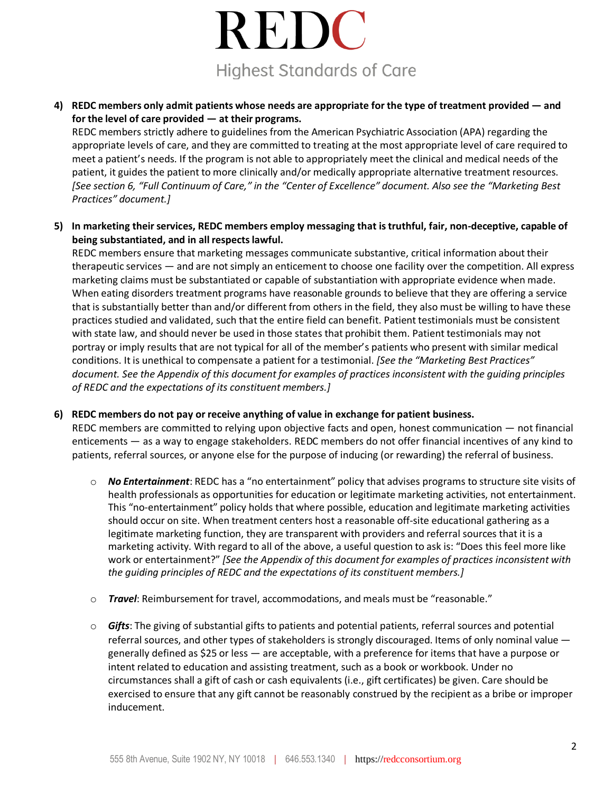# REDC **Highest Standards of Care**

**4) REDC members only admit patients whose needs are appropriate for the type of treatment provided — and for the level of care provided — at their programs.**

REDC members strictly adhere to guidelines from the American Psychiatric Association (APA) regarding the appropriate levels of care, and they are committed to treating at the most appropriate level of care required to meet a patient's needs. If the program is not able to appropriately meet the clinical and medical needs of the patient, it guides the patient to more clinically and/or medically appropriate alternative treatment resources. [See section 6, "Full Continuum of Care," in the "Center of Excellence" document. Also see the "Marketing Best *Practices" document.]*

**5) In marketing theirservices, REDC members employ messaging that istruthful, fair, non-deceptive, capable of being substantiated, and in all respectslawful.**

REDC members ensure that marketing messages communicate substantive, critical information about their therapeutic services — and are not simply an enticement to choose one facility over the competition. All express marketing claims must be substantiated or capable of substantiation with appropriate evidence when made. When eating disorders treatment programs have reasonable grounds to believe that they are offering a service that is substantially better than and/or different from others in the field, they also must be willing to have these practices studied and validated, such that the entire field can benefit. Patient testimonials must be consistent with state law, and should never be used in those states that prohibit them. Patient testimonials may not portray or imply results that are not typical for all of the member's patients who present with similar medical conditions. It is unethical to compensate a patient for a testimonial. *[See the "Marketing Best Practices" document. See the Appendix of this document for examples of practices inconsistent with the guiding principles of REDC and the expectations of its constituent members.]*

#### **6) REDC members do not pay or receive anything of value in exchange for patient business.**

REDC members are committed to relying upon objective facts and open, honest communication — not financial enticements — as a way to engage stakeholders. REDC members do not offer financial incentives of any kind to patients, referral sources, or anyone else for the purpose of inducing (or rewarding) the referral of business.

- o *No Entertainment*: REDC has a "no entertainment" policy that advises programs to structure site visits of health professionals as opportunities for education or legitimate marketing activities, not entertainment. This "no-entertainment" policy holds that where possible, education and legitimate marketing activities should occur on site. When treatment centers host a reasonable off-site educational gathering as a legitimate marketing function, they are transparent with providers and referral sources that it is a marketing activity. With regard to all of the above, a useful question to ask is: "Does this feel more like work or entertainment?" *[See the Appendix of this document for examples of practices inconsistent with the guiding principles of REDC and the expectations of its constituent members.]*
- o *Travel*: Reimbursement for travel, accommodations, and meals must be "reasonable."
- o *Gifts*: The giving of substantial gifts to patients and potential patients, referral sources and potential referral sources, and other types of stakeholders is strongly discouraged. Items of only nominal value generally defined as \$25 or less — are acceptable, with a preference for items that have a purpose or intent related to education and assisting treatment, such as a book or workbook. Under no circumstances shall a gift of cash or cash equivalents (i.e., gift certificates) be given. Care should be exercised to ensure that any gift cannot be reasonably construed by the recipient as a bribe or improper inducement.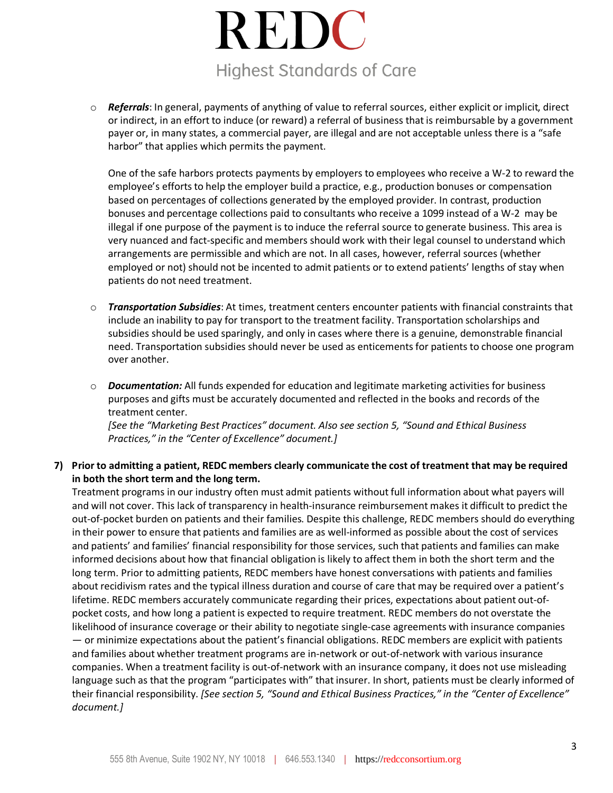## REDC **Highest Standards of Care**

o *Referrals*: In general, payments of anything of value to referral sources, either explicit or implicit, direct or indirect, in an effort to induce (or reward) a referral of business that is reimbursable by a government payer or, in many states, a commercial payer, are illegal and are not acceptable unless there is a "safe harbor" that applies which permits the payment.

One of the safe harbors protects payments by employers to employees who receive a W-2 to reward the employee's efforts to help the employer build a practice, e.g., production bonuses or compensation based on percentages of collections generated by the employed provider. In contrast, production bonuses and percentage collections paid to consultants who receive a 1099 instead of a W-2 may be illegal if one purpose of the payment is to induce the referral source to generate business. This area is very nuanced and fact-specific and members should work with their legal counsel to understand which arrangements are permissible and which are not. In all cases, however, referral sources (whether employed or not) should not be incented to admit patients or to extend patients' lengths of stay when patients do not need treatment.

- o *Transportation Subsidies*: At times, treatment centers encounter patients with financial constraints that include an inability to pay for transport to the treatment facility. Transportation scholarships and subsidies should be used sparingly, and only in cases where there is a genuine, demonstrable financial need. Transportation subsidies should never be used as enticements for patients to choose one program over another.
- o *Documentation:* All funds expended for education and legitimate marketing activities for business purposes and gifts must be accurately documented and reflected in the books and records of the treatment center.

*[See the "Marketing Best Practices" document. Also see section 5, "Sound and Ethical Business Practices," in the "Center of Excellence" document.]*

#### **7) Prior to admitting a patient, REDC members clearly communicate the cost of treatment that may be required in both the short term and the long term.**

Treatment programs in our industry often must admit patients without full information about what payers will and will not cover. This lack of transparency in health-insurance reimbursement makes it difficult to predict the out-of-pocket burden on patients and their families. Despite this challenge, REDC members should do everything in their power to ensure that patients and families are as well-informed as possible about the cost of services and patients' and families' financial responsibility for those services, such that patients and families can make informed decisions about how that financial obligation is likely to affect them in both the short term and the long term. Prior to admitting patients, REDC members have honest conversations with patients and families about recidivism rates and the typical illness duration and course of care that may be required over a patient's lifetime. REDC members accurately communicate regarding their prices, expectations about patient out-ofpocket costs, and how long a patient is expected to require treatment. REDC members do not overstate the likelihood of insurance coverage or their ability to negotiate single-case agreements with insurance companies — or minimize expectations about the patient's financial obligations. REDC members are explicit with patients and families about whether treatment programs are in-network or out-of-network with various insurance companies. When a treatment facility is out-of-network with an insurance company, it does not use misleading language such as that the program "participates with" that insurer. In short, patients must be clearly informed of their financial responsibility. *[See section 5, "Sound and Ethical Business Practices," in the "Center of Excellence" document.]*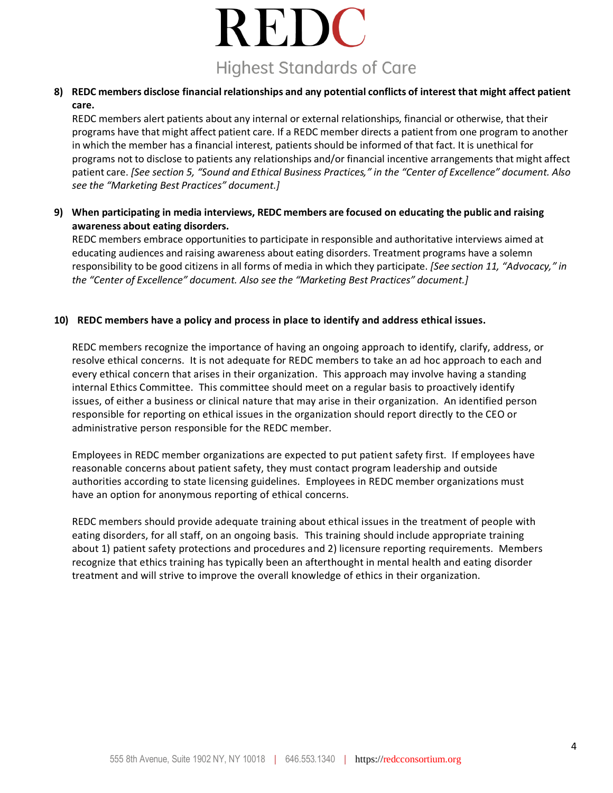## REDC **Highest Standards of Care**

#### **8) REDC members disclose financial relationships and any potential conflicts of interest that might affect patient care.**

REDC members alert patients about any internal or external relationships, financial or otherwise, that their programs have that might affect patient care. If a REDC member directs a patient from one program to another in which the member has a financial interest, patients should be informed of that fact. It is unethical for programs not to disclose to patients any relationships and/or financial incentive arrangements that might affect patient care. *[See section 5, "Sound and Ethical Business Practices," in the "Center of Excellence" document. Also see the "Marketing Best Practices" document.]*

#### **9) When participating in media interviews, REDC members are focused on educating the public and raising awareness about eating disorders.**

REDC members embrace opportunities to participate in responsible and authoritative interviews aimed at educating audiences and raising awareness about eating disorders. Treatment programs have a solemn responsibility to be good citizens in all forms of media in which they participate. *[See section 11, "Advocacy," in the "Center of Excellence" document. Also see the "Marketing Best Practices" document.]*

#### **10) REDC members have a policy and process in place to identify and address ethical issues.**

REDC members recognize the importance of having an ongoing approach to identify, clarify, address, or resolve ethical concerns. It is not adequate for REDC members to take an ad hoc approach to each and every ethical concern that arises in their organization. This approach may involve having a standing internal Ethics Committee. This committee should meet on a regular basis to proactively identify issues, of either a business or clinical nature that may arise in their organization. An identified person responsible for reporting on ethical issues in the organization should report directly to the CEO or administrative person responsible for the REDC member.

Employees in REDC member organizations are expected to put patient safety first. If employees have reasonable concerns about patient safety, they must contact program leadership and outside authorities according to state licensing guidelines. Employees in REDC member organizations must have an option for anonymous reporting of ethical concerns.

REDC members should provide adequate training about ethical issues in the treatment of people with eating disorders, for all staff, on an ongoing basis. This training should include appropriate training about 1) patient safety protections and procedures and 2) licensure reporting requirements. Members recognize that ethics training has typically been an afterthought in mental health and eating disorder treatment and will strive to improve the overall knowledge of ethics in their organization.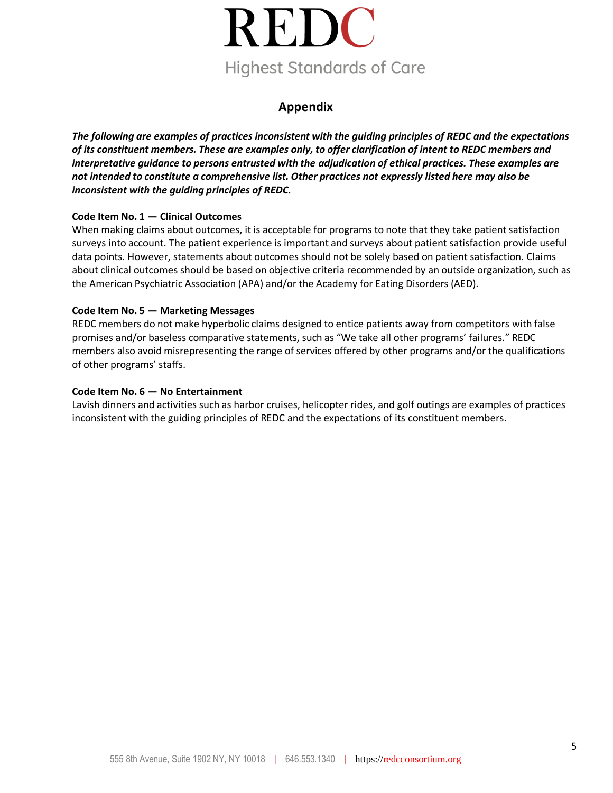

## **Appendix**

*The following are examples of practices inconsistent with the guiding principles of REDC and the expectations of its constituent members. These are examples only, to offer clarification of intent to REDC members and interpretative guidance to persons entrusted with the adjudication of ethical practices. These examples are not intended to constitute a comprehensive list. Other practices not expressly listed here may also be inconsistent with the guiding principles of REDC.*

#### **Code Item No. 1 — Clinical Outcomes**

When making claims about outcomes, it is acceptable for programs to note that they take patient satisfaction surveys into account. The patient experience is important and surveys about patient satisfaction provide useful data points. However, statements about outcomes should not be solely based on patient satisfaction. Claims about clinical outcomes should be based on objective criteria recommended by an outside organization, such as the American Psychiatric Association (APA) and/or the Academy for Eating Disorders (AED).

#### **Code Item No. 5 — Marketing Messages**

REDC members do not make hyperbolic claims designed to entice patients away from competitors with false promises and/or baseless comparative statements, such as "We take all other programs' failures." REDC members also avoid misrepresenting the range of services offered by other programs and/or the qualifications of other programs' staffs.

#### **Code Item No. 6 — No Entertainment**

Lavish dinners and activities such as harbor cruises, helicopter rides, and golf outings are examples of practices inconsistent with the guiding principles of REDC and the expectations of its constituent members.